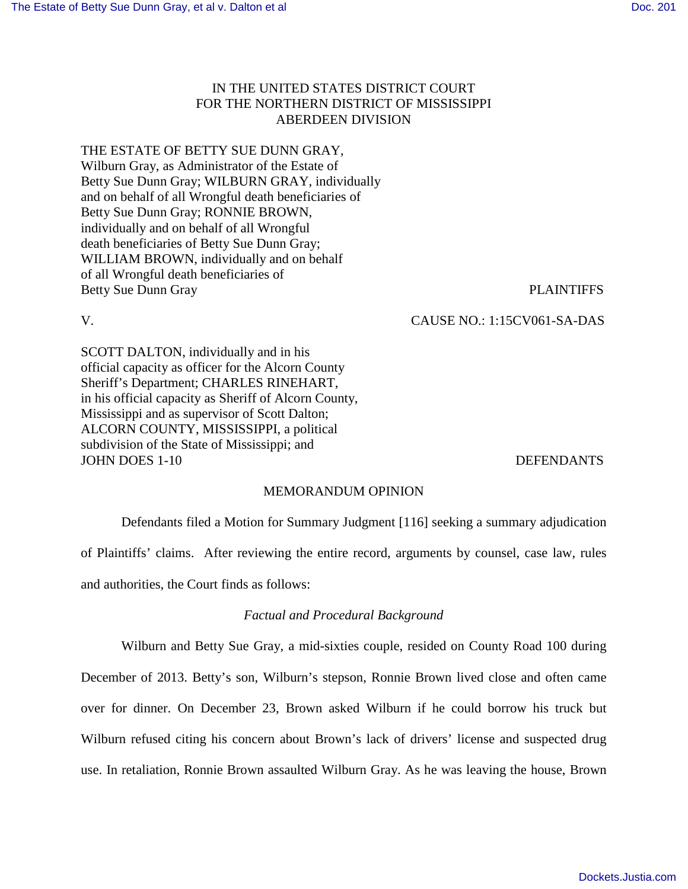# IN THE UNITED STATES DISTRICT COURT FOR THE NORTHERN DISTRICT OF MISSISSIPPI ABERDEEN DIVISION

# THE ESTATE OF BETTY SUE DUNN GRAY,

Wilburn Gray, as Administrator of the Estate of Betty Sue Dunn Gray; WILBURN GRAY, individually and on behalf of all Wrongful death beneficiaries of Betty Sue Dunn Gray; RONNIE BROWN, individually and on behalf of all Wrongful death beneficiaries of Betty Sue Dunn Gray; WILLIAM BROWN, individually and on behalf of all Wrongful death beneficiaries of Betty Sue Dunn Gray PLAINTIFFS

V. CAUSE NO.: 1:15CV061-SA-DAS

SCOTT DALTON, individually and in his official capacity as officer for the Alcorn County Sheriff's Department; CHARLES RINEHART, in his official capacity as Sheriff of Alcorn County, Mississippi and as supervisor of Scott Dalton; ALCORN COUNTY, MISSISSIPPI, a political subdivision of the State of Mississippi; and JOHN DOES 1-10 DEFENDANTS

## MEMORANDUM OPINION

Defendants filed a Motion for Summary Judgment [116] seeking a summary adjudication of Plaintiffs' claims. After reviewing the entire record, arguments by counsel, case law, rules and authorities, the Court finds as follows:

## *Factual and Procedural Background*

Wilburn and Betty Sue Gray, a mid-sixties couple, resided on County Road 100 during December of 2013. Betty's son, Wilburn's stepson, Ronnie Brown lived close and often came over for dinner. On December 23, Brown asked Wilburn if he could borrow his truck but Wilburn refused citing his concern about Brown's lack of drivers' license and suspected drug use. In retaliation, Ronnie Brown assaulted Wilburn Gray. As he was leaving the house, Brown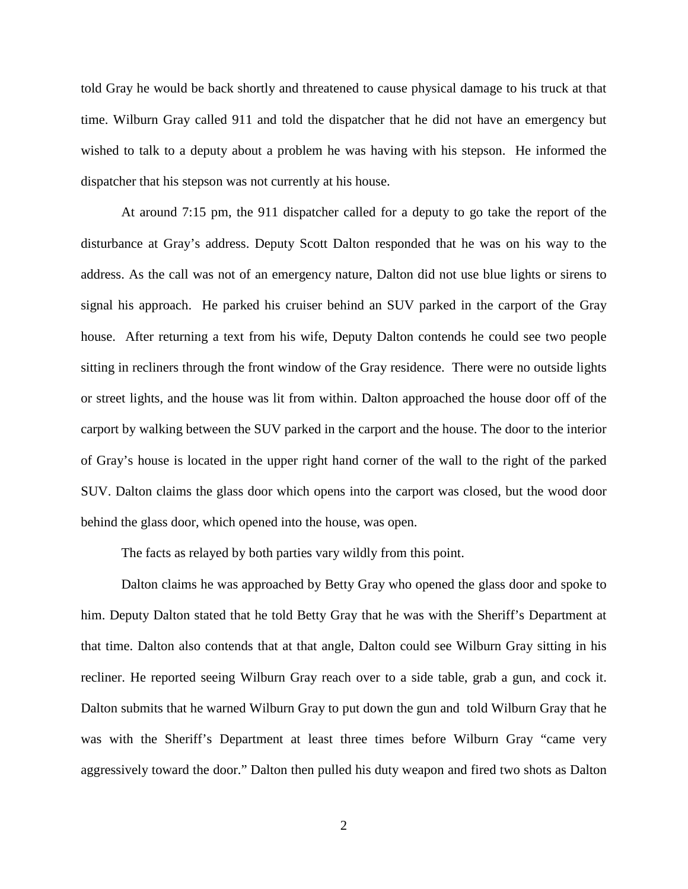told Gray he would be back shortly and threatened to cause physical damage to his truck at that time. Wilburn Gray called 911 and told the dispatcher that he did not have an emergency but wished to talk to a deputy about a problem he was having with his stepson. He informed the dispatcher that his stepson was not currently at his house.

At around 7:15 pm, the 911 dispatcher called for a deputy to go take the report of the disturbance at Gray's address. Deputy Scott Dalton responded that he was on his way to the address. As the call was not of an emergency nature, Dalton did not use blue lights or sirens to signal his approach. He parked his cruiser behind an SUV parked in the carport of the Gray house. After returning a text from his wife, Deputy Dalton contends he could see two people sitting in recliners through the front window of the Gray residence. There were no outside lights or street lights, and the house was lit from within. Dalton approached the house door off of the carport by walking between the SUV parked in the carport and the house. The door to the interior of Gray's house is located in the upper right hand corner of the wall to the right of the parked SUV. Dalton claims the glass door which opens into the carport was closed, but the wood door behind the glass door, which opened into the house, was open.

The facts as relayed by both parties vary wildly from this point.

Dalton claims he was approached by Betty Gray who opened the glass door and spoke to him. Deputy Dalton stated that he told Betty Gray that he was with the Sheriff's Department at that time. Dalton also contends that at that angle, Dalton could see Wilburn Gray sitting in his recliner. He reported seeing Wilburn Gray reach over to a side table, grab a gun, and cock it. Dalton submits that he warned Wilburn Gray to put down the gun and told Wilburn Gray that he was with the Sheriff's Department at least three times before Wilburn Gray "came very aggressively toward the door." Dalton then pulled his duty weapon and fired two shots as Dalton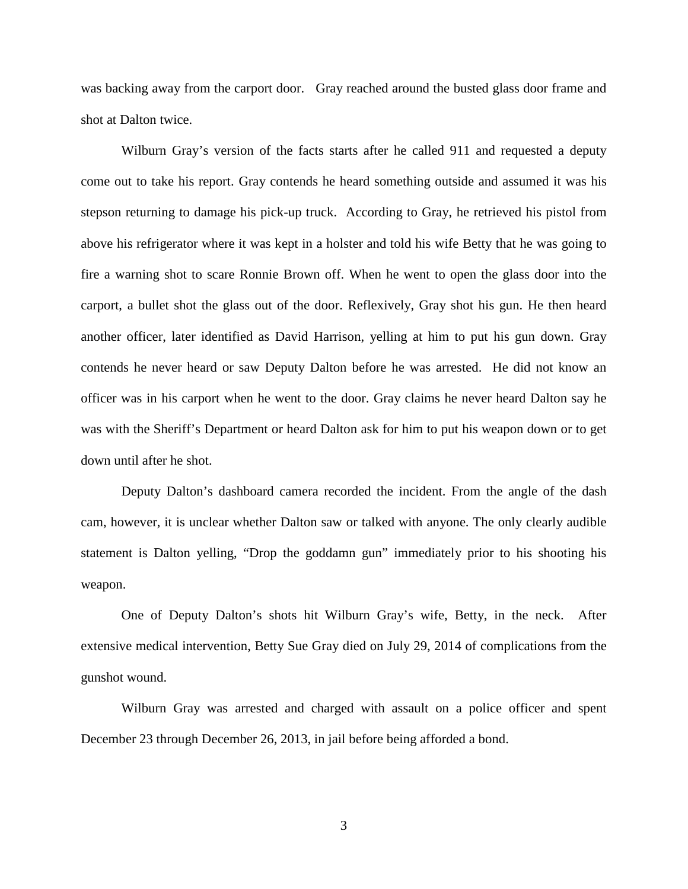was backing away from the carport door. Gray reached around the busted glass door frame and shot at Dalton twice.

Wilburn Gray's version of the facts starts after he called 911 and requested a deputy come out to take his report. Gray contends he heard something outside and assumed it was his stepson returning to damage his pick-up truck. According to Gray, he retrieved his pistol from above his refrigerator where it was kept in a holster and told his wife Betty that he was going to fire a warning shot to scare Ronnie Brown off. When he went to open the glass door into the carport, a bullet shot the glass out of the door. Reflexively, Gray shot his gun. He then heard another officer, later identified as David Harrison, yelling at him to put his gun down. Gray contends he never heard or saw Deputy Dalton before he was arrested. He did not know an officer was in his carport when he went to the door. Gray claims he never heard Dalton say he was with the Sheriff's Department or heard Dalton ask for him to put his weapon down or to get down until after he shot.

Deputy Dalton's dashboard camera recorded the incident. From the angle of the dash cam, however, it is unclear whether Dalton saw or talked with anyone. The only clearly audible statement is Dalton yelling, "Drop the goddamn gun" immediately prior to his shooting his weapon.

 One of Deputy Dalton's shots hit Wilburn Gray's wife, Betty, in the neck. After extensive medical intervention, Betty Sue Gray died on July 29, 2014 of complications from the gunshot wound.

Wilburn Gray was arrested and charged with assault on a police officer and spent December 23 through December 26, 2013, in jail before being afforded a bond.

3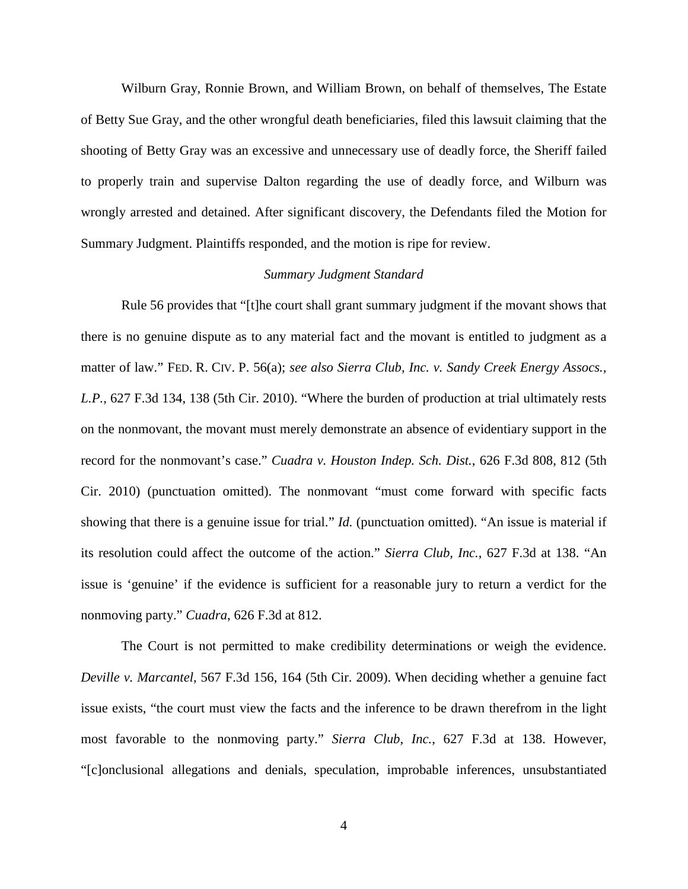Wilburn Gray, Ronnie Brown, and William Brown, on behalf of themselves, The Estate of Betty Sue Gray, and the other wrongful death beneficiaries, filed this lawsuit claiming that the shooting of Betty Gray was an excessive and unnecessary use of deadly force, the Sheriff failed to properly train and supervise Dalton regarding the use of deadly force, and Wilburn was wrongly arrested and detained. After significant discovery, the Defendants filed the Motion for Summary Judgment. Plaintiffs responded, and the motion is ripe for review.

## *Summary Judgment Standard*

Rule 56 provides that "[t]he court shall grant summary judgment if the movant shows that there is no genuine dispute as to any material fact and the movant is entitled to judgment as a matter of law." FED. R. CIV. P. 56(a); *see also Sierra Club, Inc. v. Sandy Creek Energy Assocs., L.P.*, 627 F.3d 134, 138 (5th Cir. 2010). "Where the burden of production at trial ultimately rests on the nonmovant, the movant must merely demonstrate an absence of evidentiary support in the record for the nonmovant's case." *Cuadra v. Houston Indep. Sch. Dist.*, 626 F.3d 808, 812 (5th Cir. 2010) (punctuation omitted). The nonmovant "must come forward with specific facts showing that there is a genuine issue for trial." *Id.* (punctuation omitted). "An issue is material if its resolution could affect the outcome of the action." *Sierra Club, Inc.*, 627 F.3d at 138. "An issue is 'genuine' if the evidence is sufficient for a reasonable jury to return a verdict for the nonmoving party." *Cuadra*, 626 F.3d at 812.

The Court is not permitted to make credibility determinations or weigh the evidence. *Deville v. Marcantel*, 567 F.3d 156, 164 (5th Cir. 2009). When deciding whether a genuine fact issue exists, "the court must view the facts and the inference to be drawn therefrom in the light most favorable to the nonmoving party." *Sierra Club, Inc.*, 627 F.3d at 138. However, "[c]onclusional allegations and denials, speculation, improbable inferences, unsubstantiated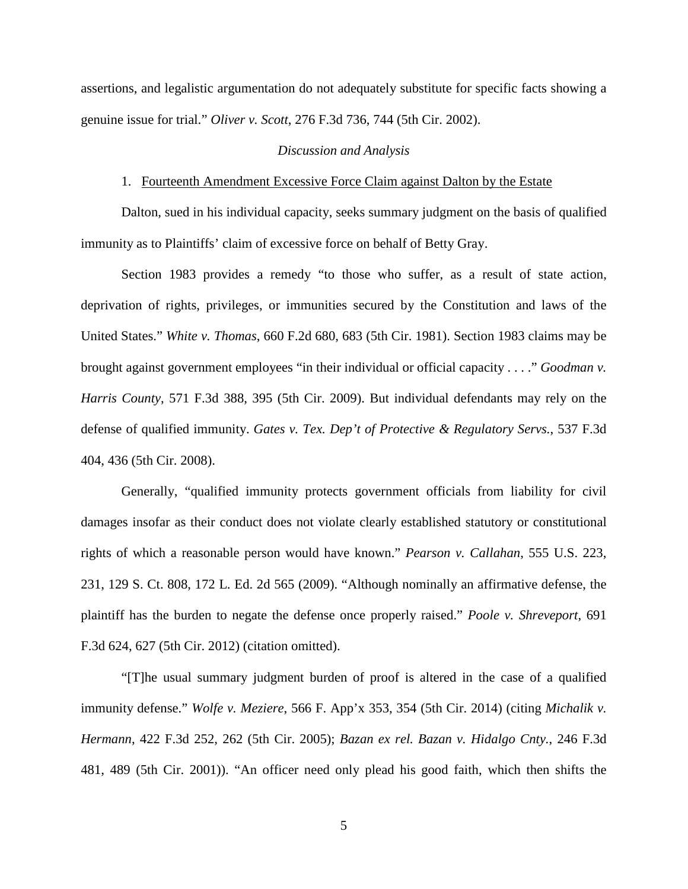assertions, and legalistic argumentation do not adequately substitute for specific facts showing a genuine issue for trial." *Oliver v. Scott*, 276 F.3d 736, 744 (5th Cir. 2002).

## *Discussion and Analysis*

### 1. Fourteenth Amendment Excessive Force Claim against Dalton by the Estate

Dalton, sued in his individual capacity, seeks summary judgment on the basis of qualified immunity as to Plaintiffs' claim of excessive force on behalf of Betty Gray.

Section 1983 provides a remedy "to those who suffer, as a result of state action, deprivation of rights, privileges, or immunities secured by the Constitution and laws of the United States." *White v. Thomas*, 660 F.2d 680, 683 (5th Cir. 1981). Section 1983 claims may be brought against government employees "in their individual or official capacity . . . ." *Goodman v. Harris County*, 571 F.3d 388, 395 (5th Cir. 2009). But individual defendants may rely on the defense of qualified immunity. *Gates v. Tex. Dep't of Protective & Regulatory Servs.*, 537 F.3d 404, 436 (5th Cir. 2008).

Generally, "qualified immunity protects government officials from liability for civil damages insofar as their conduct does not violate clearly established statutory or constitutional rights of which a reasonable person would have known." *Pearson v. Callahan*, 555 U.S. 223, 231, 129 S. Ct. 808, 172 L. Ed. 2d 565 (2009). "Although nominally an affirmative defense, the plaintiff has the burden to negate the defense once properly raised." *Poole v. Shreveport*, 691 F.3d 624, 627 (5th Cir. 2012) (citation omitted).

"[T]he usual summary judgment burden of proof is altered in the case of a qualified immunity defense." *Wolfe v. Meziere*, 566 F. App'x 353, 354 (5th Cir. 2014) (citing *Michalik v. Hermann*, 422 F.3d 252, 262 (5th Cir. 2005); *Bazan ex rel. Bazan v. Hidalgo Cnty.*, 246 F.3d 481, 489 (5th Cir. 2001)). "An officer need only plead his good faith, which then shifts the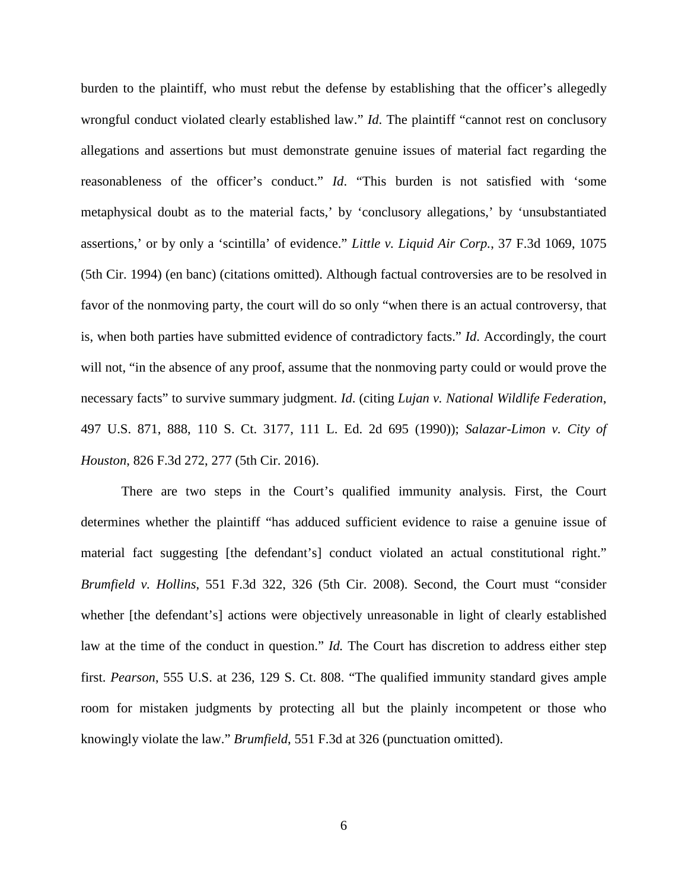burden to the plaintiff, who must rebut the defense by establishing that the officer's allegedly wrongful conduct violated clearly established law." *Id*. The plaintiff "cannot rest on conclusory allegations and assertions but must demonstrate genuine issues of material fact regarding the reasonableness of the officer's conduct." *Id*. "This burden is not satisfied with 'some metaphysical doubt as to the material facts,' by 'conclusory allegations,' by 'unsubstantiated assertions,' or by only a 'scintilla' of evidence." *Little v. Liquid Air Corp.*, 37 F.3d 1069, 1075 (5th Cir. 1994) (en banc) (citations omitted). Although factual controversies are to be resolved in favor of the nonmoving party, the court will do so only "when there is an actual controversy, that is, when both parties have submitted evidence of contradictory facts." *Id*. Accordingly, the court will not, "in the absence of any proof, assume that the nonmoving party could or would prove the necessary facts" to survive summary judgment. *Id*. (citing *Lujan v. National Wildlife Federation*, 497 U.S. 871, 888, 110 S. Ct. 3177, 111 L. Ed. 2d 695 (1990)); *Salazar-Limon v. City of Houston*, 826 F.3d 272, 277 (5th Cir. 2016).

There are two steps in the Court's qualified immunity analysis. First, the Court determines whether the plaintiff "has adduced sufficient evidence to raise a genuine issue of material fact suggesting [the defendant's] conduct violated an actual constitutional right." *Brumfield v. Hollins*, 551 F.3d 322, 326 (5th Cir. 2008). Second, the Court must "consider whether [the defendant's] actions were objectively unreasonable in light of clearly established law at the time of the conduct in question." *Id.* The Court has discretion to address either step first. *Pearson*, 555 U.S. at 236, 129 S. Ct. 808. "The qualified immunity standard gives ample room for mistaken judgments by protecting all but the plainly incompetent or those who knowingly violate the law." *Brumfield*, 551 F.3d at 326 (punctuation omitted).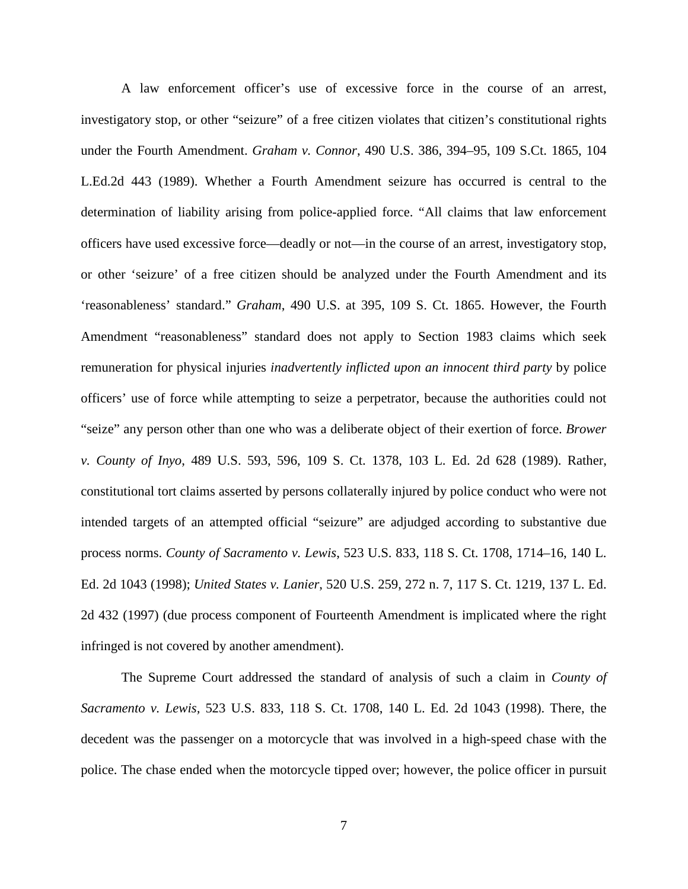A law enforcement officer's use of excessive force in the course of an arrest, investigatory stop, or other "seizure" of a free citizen violates that citizen's constitutional rights under the Fourth Amendment. *Graham v. Connor*, 490 U.S. 386, 394–95, 109 S.Ct. 1865, 104 L.Ed.2d 443 (1989). Whether a Fourth Amendment seizure has occurred is central to the determination of liability arising from police-applied force. "All claims that law enforcement officers have used excessive force—deadly or not—in the course of an arrest, investigatory stop, or other 'seizure' of a free citizen should be analyzed under the Fourth Amendment and its 'reasonableness' standard." *Graham*, 490 U.S. at 395, 109 S. Ct. 1865. However, the Fourth Amendment "reasonableness" standard does not apply to Section 1983 claims which seek remuneration for physical injuries *inadvertently inflicted upon an innocent third party* by police officers' use of force while attempting to seize a perpetrator, because the authorities could not "seize" any person other than one who was a deliberate object of their exertion of force. *Brower v. County of Inyo*, 489 U.S. 593, 596, 109 S. Ct. 1378, 103 L. Ed. 2d 628 (1989). Rather, constitutional tort claims asserted by persons collaterally injured by police conduct who were not intended targets of an attempted official "seizure" are adjudged according to substantive due process norms. *County of Sacramento v. Lewis*, 523 U.S. 833, 118 S. Ct. 1708, 1714–16, 140 L. Ed. 2d 1043 (1998); *United States v. Lanier*, 520 U.S. 259, 272 n. 7, 117 S. Ct. 1219, 137 L. Ed. 2d 432 (1997) (due process component of Fourteenth Amendment is implicated where the right infringed is not covered by another amendment).

The Supreme Court addressed the standard of analysis of such a claim in *County of Sacramento v. Lewis,* 523 U.S. 833, 118 S. Ct. 1708, 140 L. Ed. 2d 1043 (1998). There, the decedent was the passenger on a motorcycle that was involved in a high-speed chase with the police. The chase ended when the motorcycle tipped over; however, the police officer in pursuit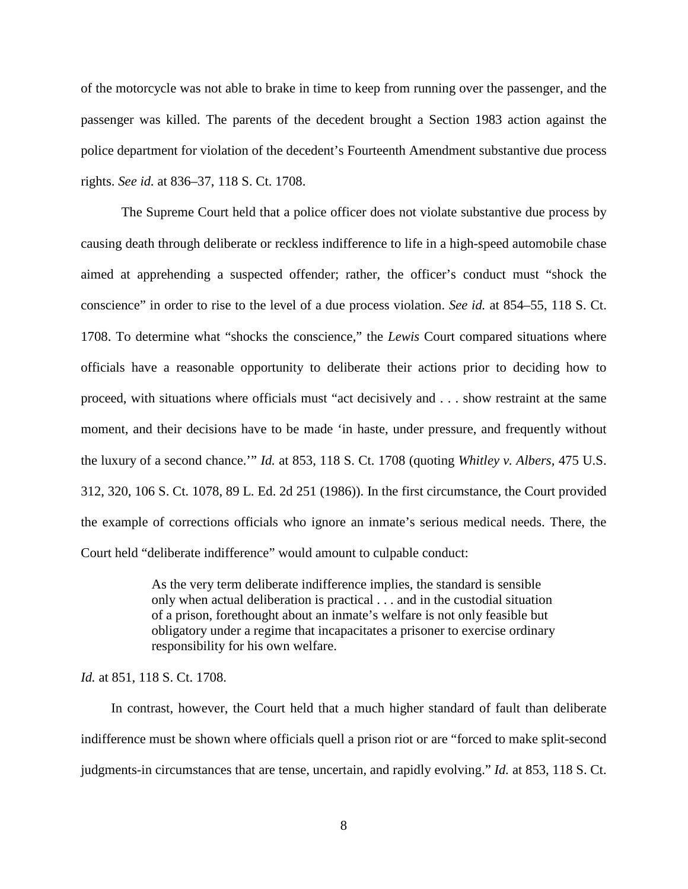of the motorcycle was not able to brake in time to keep from running over the passenger, and the passenger was killed. The parents of the decedent brought a Section 1983 action against the police department for violation of the decedent's Fourteenth Amendment substantive due process rights. *See id.* at 836–37, 118 S. Ct. 1708.

The Supreme Court held that a police officer does not violate substantive due process by causing death through deliberate or reckless indifference to life in a high-speed automobile chase aimed at apprehending a suspected offender; rather, the officer's conduct must "shock the conscience" in order to rise to the level of a due process violation. *See id.* at 854–55, 118 S. Ct. 1708. To determine what "shocks the conscience," the *Lewis* Court compared situations where officials have a reasonable opportunity to deliberate their actions prior to deciding how to proceed, with situations where officials must "act decisively and . . . show restraint at the same moment, and their decisions have to be made 'in haste, under pressure, and frequently without the luxury of a second chance.'" *Id.* at 853, 118 S. Ct. 1708 (quoting *Whitley v. Albers,* 475 U.S. 312, 320, 106 S. Ct. 1078, 89 L. Ed. 2d 251 (1986)). In the first circumstance, the Court provided the example of corrections officials who ignore an inmate's serious medical needs. There, the Court held "deliberate indifference" would amount to culpable conduct:

> As the very term deliberate indifference implies, the standard is sensible only when actual deliberation is practical . . . and in the custodial situation of a prison, forethought about an inmate's welfare is not only feasible but obligatory under a regime that incapacitates a prisoner to exercise ordinary responsibility for his own welfare.

*Id.* at 851, 118 S. Ct. 1708.

In contrast, however, the Court held that a much higher standard of fault than deliberate indifference must be shown where officials quell a prison riot or are "forced to make split-second judgments-in circumstances that are tense, uncertain, and rapidly evolving." *Id.* at 853, 118 S. Ct.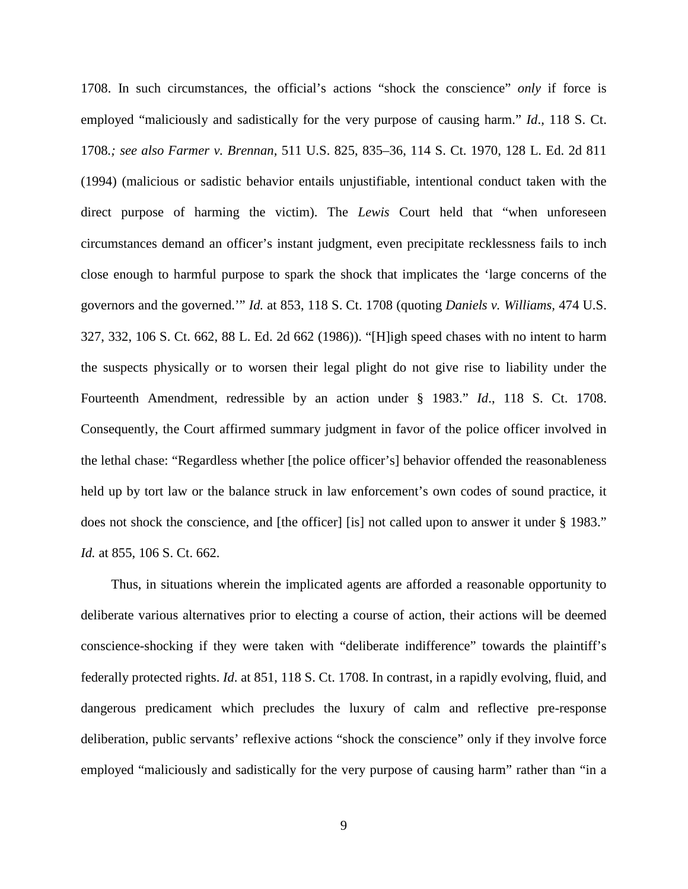1708. In such circumstances, the official's actions "shock the conscience" *only* if force is employed "maliciously and sadistically for the very purpose of causing harm." *Id*., 118 S. Ct. 1708*.; see also Farmer v. Brennan,* 511 U.S. 825, 835–36, 114 S. Ct. 1970, 128 L. Ed. 2d 811 (1994) (malicious or sadistic behavior entails unjustifiable, intentional conduct taken with the direct purpose of harming the victim). The *Lewis* Court held that "when unforeseen circumstances demand an officer's instant judgment, even precipitate recklessness fails to inch close enough to harmful purpose to spark the shock that implicates the 'large concerns of the governors and the governed.'" *Id.* at 853, 118 S. Ct. 1708 (quoting *Daniels v. Williams,* 474 U.S. 327, 332, 106 S. Ct. 662, 88 L. Ed. 2d 662 (1986)). "[H]igh speed chases with no intent to harm the suspects physically or to worsen their legal plight do not give rise to liability under the Fourteenth Amendment, redressible by an action under § 1983." *Id*., 118 S. Ct. 1708. Consequently, the Court affirmed summary judgment in favor of the police officer involved in the lethal chase: "Regardless whether [the police officer's] behavior offended the reasonableness held up by tort law or the balance struck in law enforcement's own codes of sound practice, it does not shock the conscience, and [the officer] [is] not called upon to answer it under § 1983." *Id.* at 855, 106 S. Ct. 662.

Thus, in situations wherein the implicated agents are afforded a reasonable opportunity to deliberate various alternatives prior to electing a course of action, their actions will be deemed conscience-shocking if they were taken with "deliberate indifference" towards the plaintiff's federally protected rights. *Id*. at 851, 118 S. Ct. 1708. In contrast, in a rapidly evolving, fluid, and dangerous predicament which precludes the luxury of calm and reflective pre-response deliberation, public servants' reflexive actions "shock the conscience" only if they involve force employed "maliciously and sadistically for the very purpose of causing harm" rather than "in a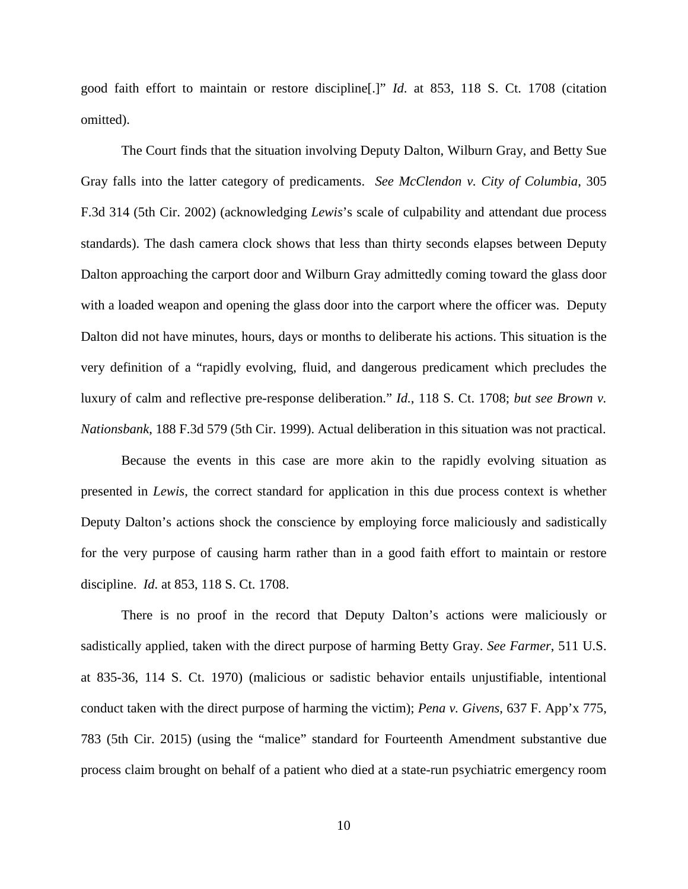good faith effort to maintain or restore discipline[.]" *Id*. at 853, 118 S. Ct. 1708 (citation omitted).

The Court finds that the situation involving Deputy Dalton, Wilburn Gray, and Betty Sue Gray falls into the latter category of predicaments. *See McClendon v. City of Columbia*, 305 F.3d 314 (5th Cir. 2002) (acknowledging *Lewis*'s scale of culpability and attendant due process standards). The dash camera clock shows that less than thirty seconds elapses between Deputy Dalton approaching the carport door and Wilburn Gray admittedly coming toward the glass door with a loaded weapon and opening the glass door into the carport where the officer was. Deputy Dalton did not have minutes, hours, days or months to deliberate his actions. This situation is the very definition of a "rapidly evolving, fluid, and dangerous predicament which precludes the luxury of calm and reflective pre-response deliberation." *Id.*, 118 S. Ct. 1708; *but see Brown v. Nationsbank*, 188 F.3d 579 (5th Cir. 1999). Actual deliberation in this situation was not practical.

Because the events in this case are more akin to the rapidly evolving situation as presented in *Lewis*, the correct standard for application in this due process context is whether Deputy Dalton's actions shock the conscience by employing force maliciously and sadistically for the very purpose of causing harm rather than in a good faith effort to maintain or restore discipline. *Id*. at 853, 118 S. Ct. 1708.

There is no proof in the record that Deputy Dalton's actions were maliciously or sadistically applied, taken with the direct purpose of harming Betty Gray. *See Farmer*, 511 U.S. at 835-36, 114 S. Ct. 1970) (malicious or sadistic behavior entails unjustifiable, intentional conduct taken with the direct purpose of harming the victim); *Pena v. Givens*, 637 F. App'x 775, 783 (5th Cir. 2015) (using the "malice" standard for Fourteenth Amendment substantive due process claim brought on behalf of a patient who died at a state-run psychiatric emergency room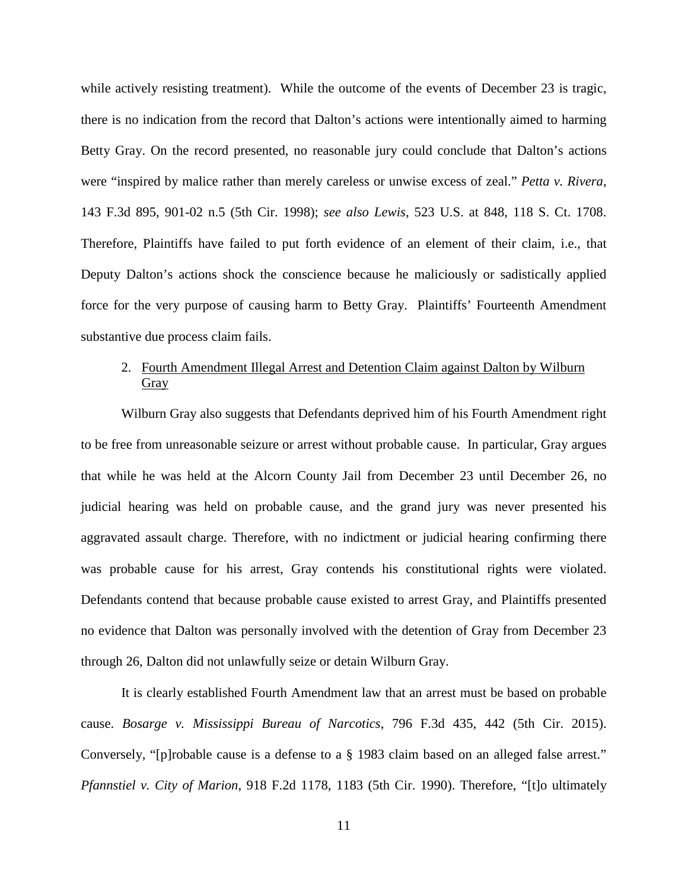while actively resisting treatment). While the outcome of the events of December 23 is tragic, there is no indication from the record that Dalton's actions were intentionally aimed to harming Betty Gray. On the record presented, no reasonable jury could conclude that Dalton's actions were "inspired by malice rather than merely careless or unwise excess of zeal." *Petta v. Rivera*, 143 F.3d 895, 901-02 n.5 (5th Cir. 1998); *see also Lewis,* 523 U.S. at 848, 118 S. Ct. 1708. Therefore, Plaintiffs have failed to put forth evidence of an element of their claim, i.e., that Deputy Dalton's actions shock the conscience because he maliciously or sadistically applied force for the very purpose of causing harm to Betty Gray. Plaintiffs' Fourteenth Amendment substantive due process claim fails.

## 2. Fourth Amendment Illegal Arrest and Detention Claim against Dalton by Wilburn **Gray**

Wilburn Gray also suggests that Defendants deprived him of his Fourth Amendment right to be free from unreasonable seizure or arrest without probable cause. In particular, Gray argues that while he was held at the Alcorn County Jail from December 23 until December 26, no judicial hearing was held on probable cause, and the grand jury was never presented his aggravated assault charge. Therefore, with no indictment or judicial hearing confirming there was probable cause for his arrest, Gray contends his constitutional rights were violated. Defendants contend that because probable cause existed to arrest Gray, and Plaintiffs presented no evidence that Dalton was personally involved with the detention of Gray from December 23 through 26, Dalton did not unlawfully seize or detain Wilburn Gray.

It is clearly established Fourth Amendment law that an arrest must be based on probable cause. *Bosarge v. Mississippi Bureau of Narcotics*, 796 F.3d 435, 442 (5th Cir. 2015). Conversely, "[p]robable cause is a defense to a § 1983 claim based on an alleged false arrest." *Pfannstiel v. City of Marion*, 918 F.2d 1178, 1183 (5th Cir. 1990). Therefore, "[t]o ultimately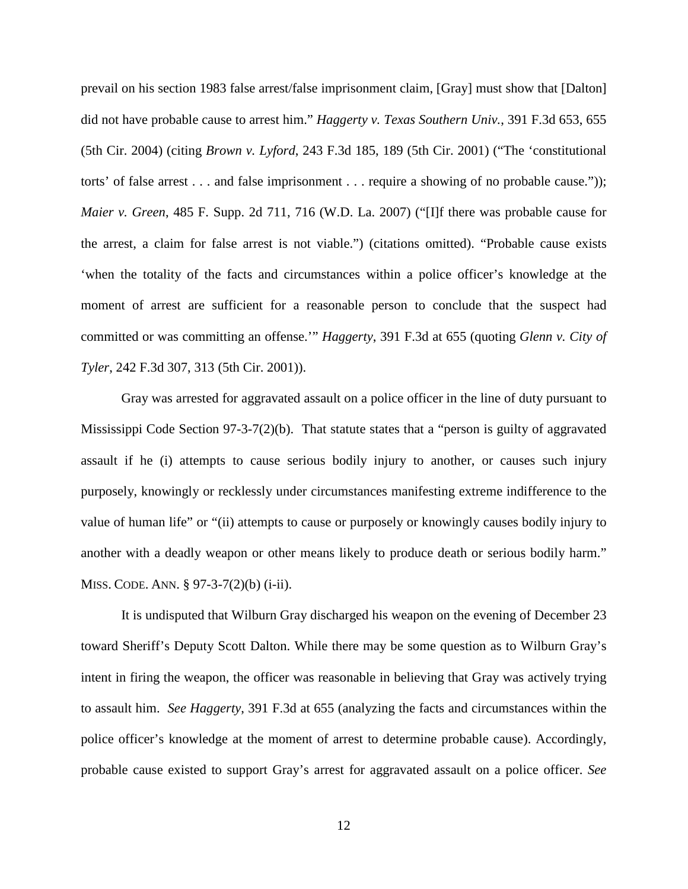prevail on his section 1983 false arrest/false imprisonment claim, [Gray] must show that [Dalton] did not have probable cause to arrest him." *Haggerty v. Texas Southern Univ.*, 391 F.3d 653, 655 (5th Cir. 2004) (citing *Brown v. Lyford*, 243 F.3d 185, 189 (5th Cir. 2001) ("The 'constitutional torts' of false arrest . . . and false imprisonment . . . require a showing of no probable cause.")); *Maier v. Green*, 485 F. Supp. 2d 711, 716 (W.D. La. 2007) ("[I]f there was probable cause for the arrest, a claim for false arrest is not viable.") (citations omitted). "Probable cause exists 'when the totality of the facts and circumstances within a police officer's knowledge at the moment of arrest are sufficient for a reasonable person to conclude that the suspect had committed or was committing an offense.'" *Haggerty*, 391 F.3d at 655 (quoting *Glenn v. City of Tyler*, 242 F.3d 307, 313 (5th Cir. 2001)).

Gray was arrested for aggravated assault on a police officer in the line of duty pursuant to Mississippi Code Section 97-3-7(2)(b). That statute states that a "person is guilty of aggravated assault if he (i) attempts to cause serious bodily injury to another, or causes such injury purposely, knowingly or recklessly under circumstances manifesting extreme indifference to the value of human life" or "(ii) attempts to cause or purposely or knowingly causes bodily injury to another with a deadly weapon or other means likely to produce death or serious bodily harm." MISS. CODE. ANN. § 97-3-7(2)(b) (i-ii).

It is undisputed that Wilburn Gray discharged his weapon on the evening of December 23 toward Sheriff's Deputy Scott Dalton. While there may be some question as to Wilburn Gray's intent in firing the weapon, the officer was reasonable in believing that Gray was actively trying to assault him. *See Haggerty*, 391 F.3d at 655 (analyzing the facts and circumstances within the police officer's knowledge at the moment of arrest to determine probable cause). Accordingly, probable cause existed to support Gray's arrest for aggravated assault on a police officer. *See*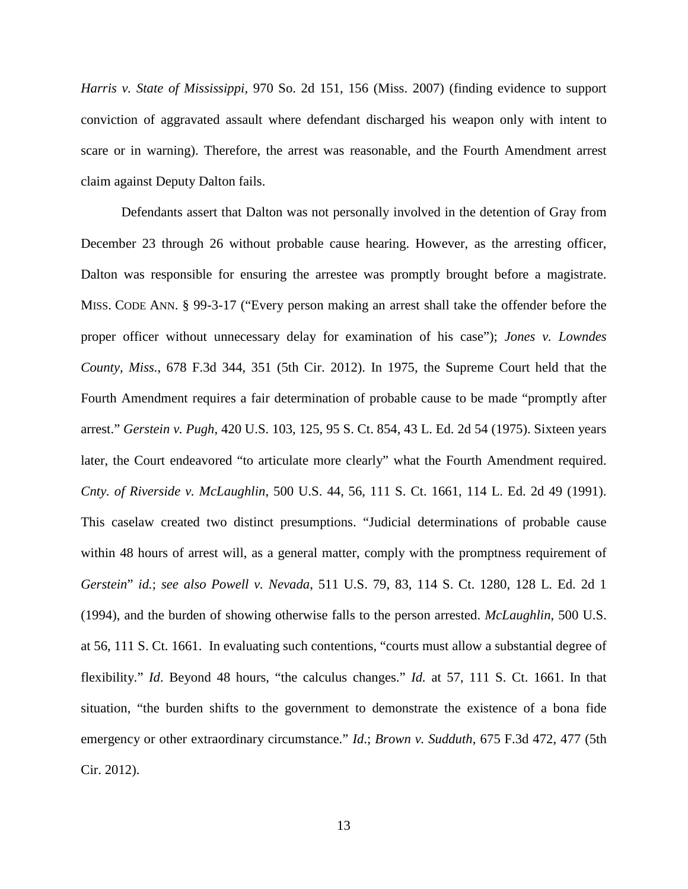*Harris v. State of Mississippi*, 970 So. 2d 151, 156 (Miss. 2007) (finding evidence to support conviction of aggravated assault where defendant discharged his weapon only with intent to scare or in warning). Therefore, the arrest was reasonable, and the Fourth Amendment arrest claim against Deputy Dalton fails.

Defendants assert that Dalton was not personally involved in the detention of Gray from December 23 through 26 without probable cause hearing. However, as the arresting officer, Dalton was responsible for ensuring the arrestee was promptly brought before a magistrate. MISS. CODE ANN. § 99-3-17 ("Every person making an arrest shall take the offender before the proper officer without unnecessary delay for examination of his case"); *Jones v. Lowndes County, Miss.*, 678 F.3d 344, 351 (5th Cir. 2012). In 1975, the Supreme Court held that the Fourth Amendment requires a fair determination of probable cause to be made "promptly after arrest." *Gerstein v. Pugh*, 420 U.S. 103, 125, 95 S. Ct. 854, 43 L. Ed. 2d 54 (1975). Sixteen years later, the Court endeavored "to articulate more clearly" what the Fourth Amendment required. *Cnty. of Riverside v. McLaughlin*, 500 U.S. 44, 56, 111 S. Ct. 1661, 114 L. Ed. 2d 49 (1991). This caselaw created two distinct presumptions. "Judicial determinations of probable cause within 48 hours of arrest will, as a general matter, comply with the promptness requirement of *Gerstein*" *id.*; *see also Powell v. Nevada*, 511 U.S. 79, 83, 114 S. Ct. 1280, 128 L. Ed. 2d 1 (1994), and the burden of showing otherwise falls to the person arrested. *McLaughlin*, 500 U.S. at 56, 111 S. Ct. 1661. In evaluating such contentions, "courts must allow a substantial degree of flexibility." *Id*. Beyond 48 hours, "the calculus changes." *Id.* at 57, 111 S. Ct. 1661. In that situation, "the burden shifts to the government to demonstrate the existence of a bona fide emergency or other extraordinary circumstance." *Id*.; *Brown v. Sudduth*, 675 F.3d 472, 477 (5th Cir. 2012).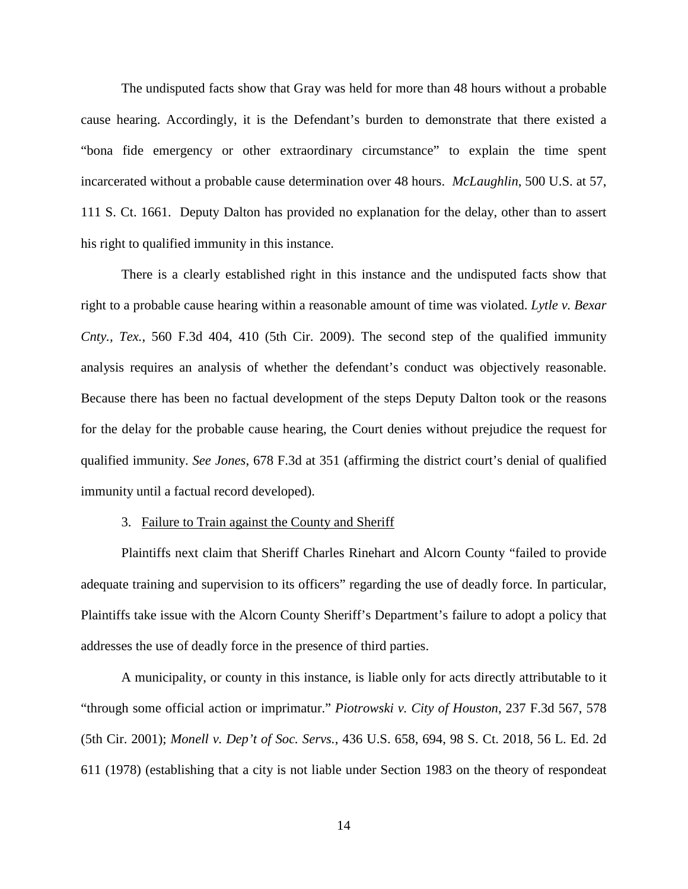The undisputed facts show that Gray was held for more than 48 hours without a probable cause hearing. Accordingly, it is the Defendant's burden to demonstrate that there existed a "bona fide emergency or other extraordinary circumstance" to explain the time spent incarcerated without a probable cause determination over 48 hours. *McLaughlin*, 500 U.S. at 57, 111 S. Ct. 1661. Deputy Dalton has provided no explanation for the delay, other than to assert his right to qualified immunity in this instance.

There is a clearly established right in this instance and the undisputed facts show that right to a probable cause hearing within a reasonable amount of time was violated. *Lytle v. Bexar Cnty., Tex.*, 560 F.3d 404, 410 (5th Cir. 2009). The second step of the qualified immunity analysis requires an analysis of whether the defendant's conduct was objectively reasonable. Because there has been no factual development of the steps Deputy Dalton took or the reasons for the delay for the probable cause hearing, the Court denies without prejudice the request for qualified immunity. *See Jones*, 678 F.3d at 351 (affirming the district court's denial of qualified immunity until a factual record developed).

#### 3. Failure to Train against the County and Sheriff

Plaintiffs next claim that Sheriff Charles Rinehart and Alcorn County "failed to provide adequate training and supervision to its officers" regarding the use of deadly force. In particular, Plaintiffs take issue with the Alcorn County Sheriff's Department's failure to adopt a policy that addresses the use of deadly force in the presence of third parties.

A municipality, or county in this instance, is liable only for acts directly attributable to it "through some official action or imprimatur." *Piotrowski v. City of Houston*, 237 F.3d 567, 578 (5th Cir. 2001); *Monell v. Dep't of Soc. Servs.*, 436 U.S. 658, 694, 98 S. Ct. 2018, 56 L. Ed. 2d 611 (1978) (establishing that a city is not liable under Section 1983 on the theory of respondeat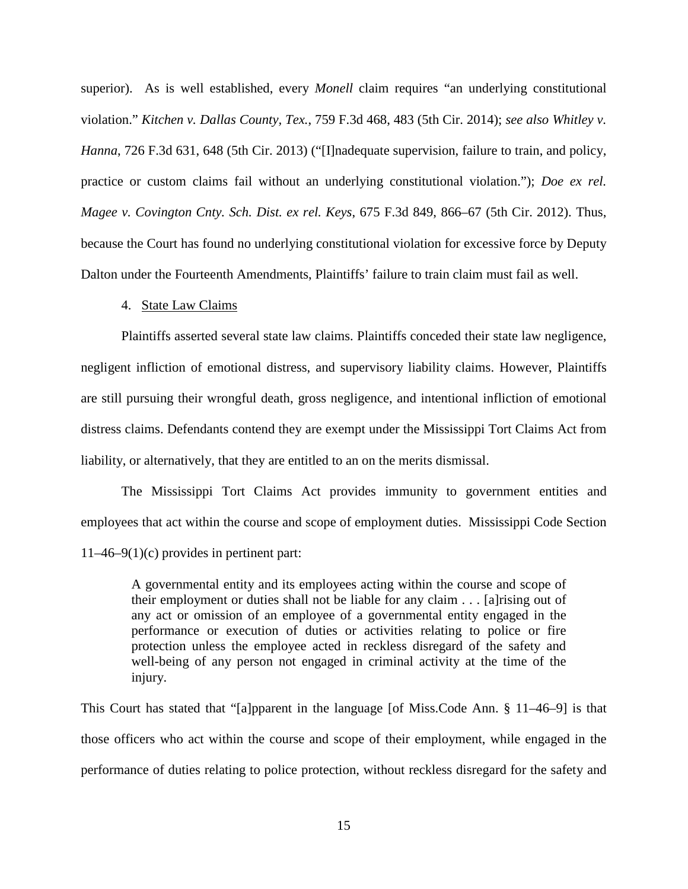superior). As is well established, every *Monell* claim requires "an underlying constitutional violation." *Kitchen v. Dallas County, Tex.*, 759 F.3d 468, 483 (5th Cir. 2014); *see also Whitley v. Hanna*, 726 F.3d 631, 648 (5th Cir. 2013) ("[I]nadequate supervision, failure to train, and policy, practice or custom claims fail without an underlying constitutional violation."); *Doe ex rel. Magee v. Covington Cnty. Sch. Dist. ex rel. Keys*, 675 F.3d 849, 866–67 (5th Cir. 2012). Thus, because the Court has found no underlying constitutional violation for excessive force by Deputy Dalton under the Fourteenth Amendments, Plaintiffs' failure to train claim must fail as well.

#### 4. State Law Claims

Plaintiffs asserted several state law claims. Plaintiffs conceded their state law negligence, negligent infliction of emotional distress, and supervisory liability claims. However, Plaintiffs are still pursuing their wrongful death, gross negligence, and intentional infliction of emotional distress claims. Defendants contend they are exempt under the Mississippi Tort Claims Act from liability, or alternatively, that they are entitled to an on the merits dismissal.

The Mississippi Tort Claims Act provides immunity to government entities and employees that act within the course and scope of employment duties. Mississippi Code Section 11–46–9(1)(c) provides in pertinent part:

A governmental entity and its employees acting within the course and scope of their employment or duties shall not be liable for any claim . . . [a]rising out of any act or omission of an employee of a governmental entity engaged in the performance or execution of duties or activities relating to police or fire protection unless the employee acted in reckless disregard of the safety and well-being of any person not engaged in criminal activity at the time of the injury.

This Court has stated that "[a]pparent in the language [of Miss.Code Ann. § 11–46–9] is that those officers who act within the course and scope of their employment, while engaged in the performance of duties relating to police protection, without reckless disregard for the safety and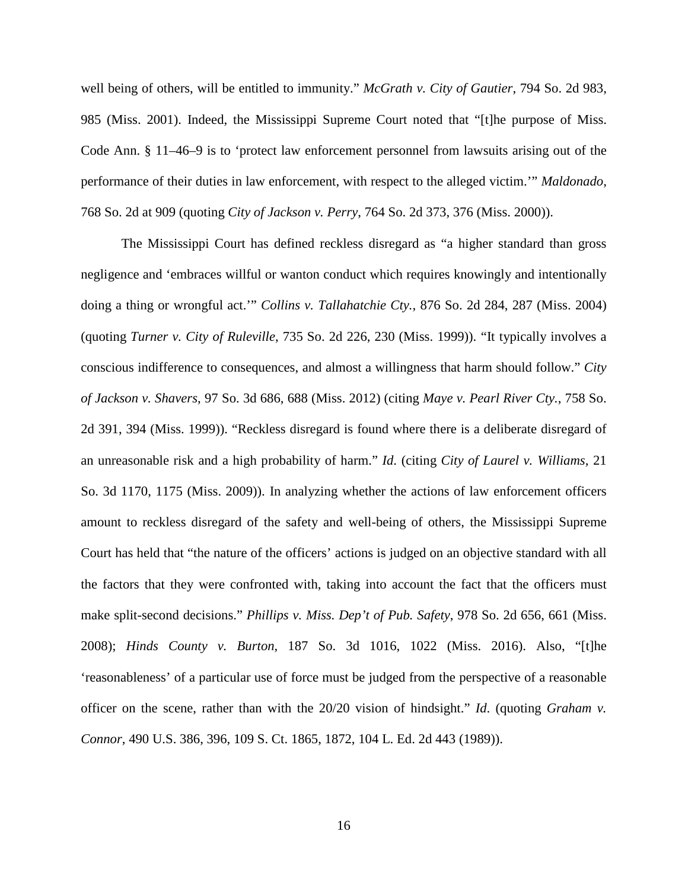well being of others, will be entitled to immunity." *McGrath v. City of Gautier*, 794 So. 2d 983, 985 (Miss. 2001). Indeed, the Mississippi Supreme Court noted that "[t]he purpose of Miss. Code Ann. § 11–46–9 is to 'protect law enforcement personnel from lawsuits arising out of the performance of their duties in law enforcement, with respect to the alleged victim.'" *Maldonado*, 768 So. 2d at 909 (quoting *City of Jackson v. Perry*, 764 So. 2d 373, 376 (Miss. 2000)).

The Mississippi Court has defined reckless disregard as "a higher standard than gross negligence and 'embraces willful or wanton conduct which requires knowingly and intentionally doing a thing or wrongful act.'" *Collins v. Tallahatchie Cty.*, 876 So. 2d 284, 287 (Miss. 2004) (quoting *Turner v. City of Ruleville*, 735 So. 2d 226, 230 (Miss. 1999)). "It typically involves a conscious indifference to consequences, and almost a willingness that harm should follow." *City of Jackson v. Shavers*, 97 So. 3d 686, 688 (Miss. 2012) (citing *Maye v. Pearl River Cty.*, 758 So. 2d 391, 394 (Miss. 1999)). "Reckless disregard is found where there is a deliberate disregard of an unreasonable risk and a high probability of harm." *Id*. (citing *City of Laurel v. Williams*, 21 So. 3d 1170, 1175 (Miss. 2009)). In analyzing whether the actions of law enforcement officers amount to reckless disregard of the safety and well-being of others, the Mississippi Supreme Court has held that "the nature of the officers' actions is judged on an objective standard with all the factors that they were confronted with, taking into account the fact that the officers must make split-second decisions." *Phillips v. Miss. Dep't of Pub. Safety*, 978 So. 2d 656, 661 (Miss. 2008); *Hinds County v. Burton*, 187 So. 3d 1016, 1022 (Miss. 2016). Also, "[t]he 'reasonableness' of a particular use of force must be judged from the perspective of a reasonable officer on the scene, rather than with the 20/20 vision of hindsight." *Id*. (quoting *Graham v. Connor*, 490 U.S. 386, 396, 109 S. Ct. 1865, 1872, 104 L. Ed. 2d 443 (1989)).